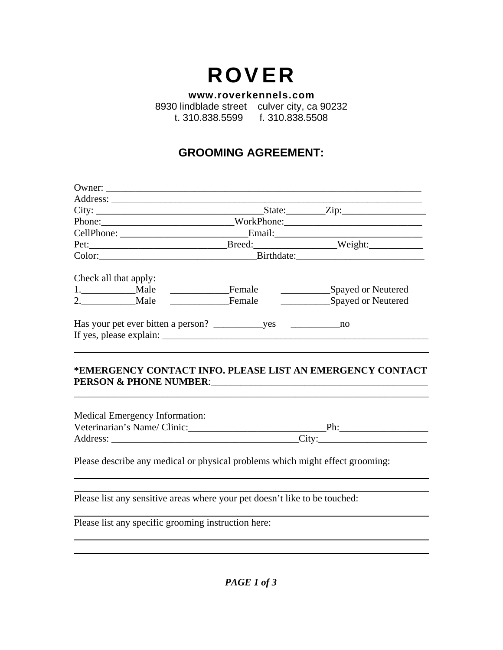# ROVER

**www.roverkennels.com** 8930 lindblade street culver city, ca 90232

t. 310.838.5599 f. 310.838.5508

## **GROOMING AGREEMENT:**

| City:                                         |                              | State: <u>Zip:</u> |
|-----------------------------------------------|------------------------------|--------------------|
|                                               | Phone: WorkPhone: WorkPhone: |                    |
|                                               |                              |                    |
|                                               |                              |                    |
| Color: Color:                                 |                              |                    |
| Check all that apply:<br>1. Male              | Female                       | Spayed or Neutered |
| 2. Male                                       | Female                       | Spayed or Neutered |
| Has your pet ever bitten a person? ves ves no |                              |                    |
|                                               |                              |                    |

#### **\*EMERGENCY CONTACT INFO. PLEASE LIST AN EMERGENCY CONTACT PERSON & PHONE NUMBER**:\_\_\_\_\_\_\_\_\_\_\_\_\_\_\_\_\_\_\_\_\_\_\_\_\_\_\_\_\_\_\_\_\_\_\_\_\_\_\_\_\_\_\_\_

\_\_\_\_\_\_\_\_\_\_\_\_\_\_\_\_\_\_\_\_\_\_\_\_\_\_\_\_\_\_\_\_\_\_\_\_\_\_\_\_\_\_\_\_\_\_\_\_\_\_\_\_\_\_\_\_\_\_\_\_\_\_\_\_\_\_\_\_\_\_\_\_

| <b>Medical Emergency Information:</b> |                   |  |
|---------------------------------------|-------------------|--|
| Veterinarian's Name/Clinic:           | ₽h∙               |  |
| Address:                              | City <sup>-</sup> |  |

Please describe any medical or physical problems which might effect grooming:

Please list any sensitive areas where your pet doesn't like to be touched:

Please list any specific grooming instruction here: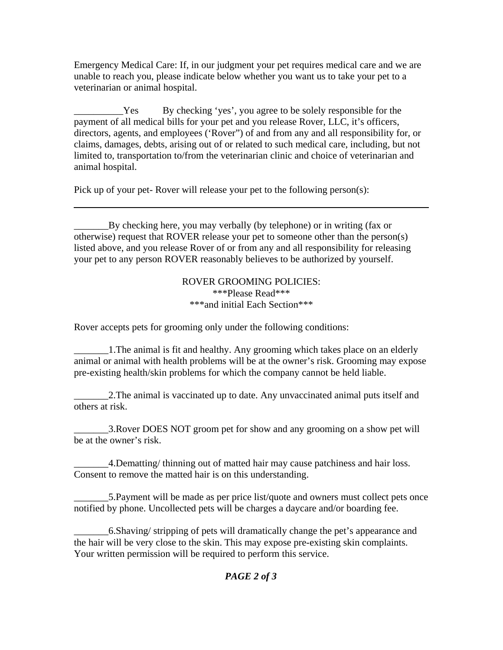Emergency Medical Care: If, in our judgment your pet requires medical care and we are unable to reach you, please indicate below whether you want us to take your pet to a veterinarian or animal hospital.

Les By checking 'yes', you agree to be solely responsible for the payment of all medical bills for your pet and you release Rover, LLC, it's officers, directors, agents, and employees ('Rover") of and from any and all responsibility for, or claims, damages, debts, arising out of or related to such medical care, including, but not limited to, transportation to/from the veterinarian clinic and choice of veterinarian and animal hospital.

Pick up of your pet- Rover will release your pet to the following person(s):

\_\_\_\_\_\_\_By checking here, you may verbally (by telephone) or in writing (fax or otherwise) request that ROVER release your pet to someone other than the person(s) listed above, and you release Rover of or from any and all responsibility for releasing your pet to any person ROVER reasonably believes to be authorized by yourself.

#### ROVER GROOMING POLICIES: \*\*\*Please Read\*\*\* \*\*\*and initial Each Section\*\*\*

Rover accepts pets for grooming only under the following conditions:

\_\_\_\_\_\_\_1.The animal is fit and healthy. Any grooming which takes place on an elderly animal or animal with health problems will be at the owner's risk. Grooming may expose pre-existing health/skin problems for which the company cannot be held liable.

\_\_\_\_\_\_\_2.The animal is vaccinated up to date. Any unvaccinated animal puts itself and others at risk.

\_\_\_\_\_\_\_3.Rover DOES NOT groom pet for show and any grooming on a show pet will be at the owner's risk.

\_\_\_\_\_\_\_4.Dematting/ thinning out of matted hair may cause patchiness and hair loss. Consent to remove the matted hair is on this understanding.

5. Payment will be made as per price list/quote and owners must collect pets once notified by phone. Uncollected pets will be charges a daycare and/or boarding fee.

\_\_\_\_\_\_\_6.Shaving/ stripping of pets will dramatically change the pet's appearance and the hair will be very close to the skin. This may expose pre-existing skin complaints. Your written permission will be required to perform this service.

### *PAGE 2 of 3*